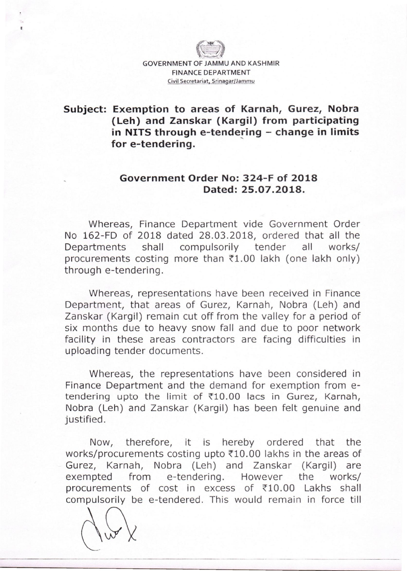

# **Subject: Exemption to areas of Karnah, Gurez, Nobra (Leh) and Zanskar (Kargil) from participating in NITS through e-tendering - change in limits for e-tendering.**

## **Government Order No: 324-F of 2018 Dated: 25.07.2018.**

Whereas, Finance Department vide Government Order No 162-FD of 2018 dated 28.03.2018, ordered that all the Departments shall compulsorily tender all works/ procurements costing more than  $\overline{51.00}$  lakh (one lakh only) through e-tendering.

Whereas, representations have been received in Finance Department, that areas of Gurez, Karnah, Nobra (Leh) and Zanskar (Kargil) remain cut off from the valley for a period of six months due to heavy snow fall and due to poor network facility in these areas contractors are facing difficulties in uploading tender documents.

Whereas, the representations have been considered in Finance Department and the demand for exemption from etendering upto the limit of  $\text{\texttt{F10.00}}$  lacs in Gurez, Karnah, Nobra (Leh) and Zanskar (Kargil) has been felt genuine and justified.

Now, therefore, it is hereby ordered that the works/procurements costing upto  $\text{\texttt{*10.00}}$  lakhs in the areas of Gurez, Karnah, Nobra (Leh) and Zanskar (Kargil) are exempted from e-tendering. However the works/ procurements of cost in excess of  $\overline{510.00}$  Lakhs shall compulsorily be e-tendered. This would remain in force till

-------- .. \_\_ .\_-\_. ---

~